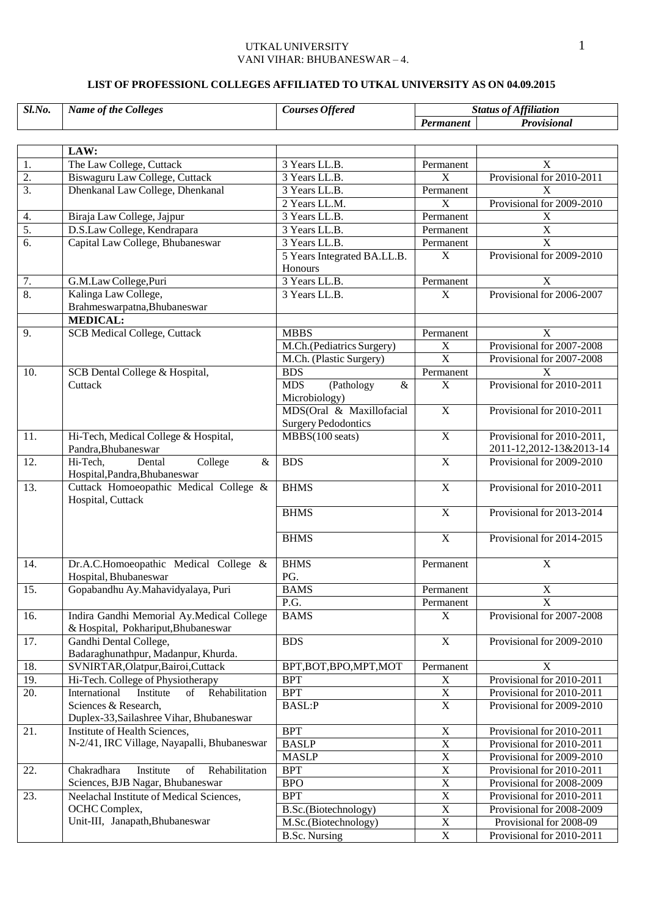## UTKAL UNIVERSITY 1 VANI VIHAR: BHUBANESWAR – 4.

#### **LIST OF PROFESSIONL COLLEGES AFFILIATED TO UTKAL UNIVERSITY AS ON 04.09.2015**

| Sl.No.           | <b>Name of the Colleges</b>                                                      | <b>Courses Offered</b>                                 | <b>Status of Affiliation</b> |                                                       |
|------------------|----------------------------------------------------------------------------------|--------------------------------------------------------|------------------------------|-------------------------------------------------------|
|                  |                                                                                  |                                                        | Permanent                    | Provisional                                           |
|                  |                                                                                  |                                                        |                              |                                                       |
|                  | LAW:                                                                             |                                                        |                              |                                                       |
| 1.               | The Law College, Cuttack                                                         | 3 Years LL.B.                                          | Permanent                    | X                                                     |
| $\overline{2}$ . | Biswaguru Law College, Cuttack                                                   | 3 Years LL.B.                                          | $\overline{X}$               | Provisional for 2010-2011                             |
| $\overline{3}$ . | Dhenkanal Law College, Dhenkanal                                                 | 3 Years LL.B.                                          | Permanent                    | $\overline{\mathbf{X}}$                               |
|                  |                                                                                  | 2 Years LL.M.                                          | $\overline{X}$               | Provisional for 2009-2010                             |
| 4.               | Biraja Law College, Jajpur                                                       | 3 Years LL.B.                                          | Permanent                    | $\mathbf X$                                           |
| $\overline{5}$ . | D.S.Law College, Kendrapara                                                      | 3 Years LL.B.                                          | Permanent                    | $\overline{X}$                                        |
| 6.               | Capital Law College, Bhubaneswar                                                 | 3 Years LL.B.                                          | Permanent                    | $\overline{X}$                                        |
|                  |                                                                                  | 5 Years Integrated BA.LL.B.<br>Honours                 | $\mathbf X$                  | Provisional for 2009-2010                             |
| 7.               | G.M.Law College, Puri                                                            | 3 Years LL.B.                                          | Permanent                    | $\boldsymbol{\mathrm{X}}$                             |
| 8.               | Kalinga Law College,                                                             | 3 Years LL.B.                                          | X                            | Provisional for 2006-2007                             |
|                  | Brahmeswarpatna, Bhubaneswar                                                     |                                                        |                              |                                                       |
|                  | <b>MEDICAL:</b>                                                                  |                                                        |                              |                                                       |
| 9.               | <b>SCB</b> Medical College, Cuttack                                              | <b>MBBS</b>                                            | Permanent                    | X                                                     |
|                  |                                                                                  | M.Ch.(Pediatrics Surgery)                              | $\mathbf X$                  | Provisional for 2007-2008                             |
|                  |                                                                                  | M.Ch. (Plastic Surgery)                                | $\overline{X}$               | Provisional for 2007-2008                             |
| 10.              | SCB Dental College & Hospital,                                                   | <b>BDS</b>                                             | Permanent                    | X                                                     |
|                  | Cuttack                                                                          | <b>MDS</b><br>(Pathology<br>$\&$<br>Microbiology)      | $\overline{X}$               | Provisional for 2010-2011                             |
|                  |                                                                                  | MDS(Oral & Maxillofacial<br><b>Surgery Pedodontics</b> | $\overline{X}$               | Provisional for 2010-2011                             |
| 11.              | Hi-Tech, Medical College & Hospital,<br>Pandra, Bhubaneswar                      | $MBBS(100 \text{ seats})$                              | $\mathbf X$                  | Provisional for 2010-2011,<br>2011-12,2012-13&2013-14 |
| 12.              | Hi-Tech,<br>Dental<br>College<br>&<br>Hospital, Pandra, Bhubaneswar              | <b>BDS</b>                                             | $\overline{X}$               | Provisional for 2009-2010                             |
| 13.              | Cuttack Homoeopathic Medical College &<br>Hospital, Cuttack                      | <b>BHMS</b>                                            | $\mathbf X$                  | Provisional for 2010-2011                             |
|                  |                                                                                  | <b>BHMS</b>                                            | $\mathbf X$                  | Provisional for 2013-2014                             |
|                  |                                                                                  | <b>BHMS</b>                                            | $\overline{X}$               | Provisional for 2014-2015                             |
| 14.              | Dr.A.C.Homoeopathic Medical College &                                            | <b>BHMS</b>                                            | Permanent                    | $\mathbf X$                                           |
|                  | Hospital, Bhubaneswar                                                            | PG.                                                    |                              |                                                       |
| 15.              | Gopabandhu Ay.Mahavidyalaya, Puri                                                | <b>BAMS</b>                                            | Permanent                    | $\overline{\textbf{X}}$                               |
|                  |                                                                                  | P.G.                                                   | Permanent                    | $\overline{\text{X}}$                                 |
| 16.              | Indira Gandhi Memorial Ay.Medical College<br>& Hospital, Pokhariput, Bhubaneswar | <b>BAMS</b>                                            | $\boldsymbol{\mathrm{X}}$    | Provisional for 2007-2008                             |
| 17.              | Gandhi Dental College,<br>Badaraghunathpur, Madanpur, Khurda.                    | <b>BDS</b>                                             | $\overline{X}$               | Provisional for 2009-2010                             |
| 18.              | SVNIRTAR, Olatpur, Bairoi, Cuttack                                               | BPT, BOT, BPO, MPT, MOT                                | Permanent                    | $\boldsymbol{\mathrm{X}}$                             |
| 19.              | Hi-Tech. College of Physiotherapy                                                | <b>BPT</b>                                             | $\mathbf X$                  | Provisional for 2010-2011                             |
| 20.              | Rehabilitation<br>International<br>Institute<br>of                               | <b>BPT</b>                                             | $\overline{X}$               | Provisional for 2010-2011                             |
|                  | Sciences & Research,<br>Duplex-33, Sailashree Vihar, Bhubaneswar                 | <b>BASL:P</b>                                          | $\overline{X}$               | Provisional for 2009-2010                             |
| 21.              | Institute of Health Sciences,                                                    | <b>BPT</b>                                             | $\mathbf X$                  | Provisional for 2010-2011                             |
|                  | N-2/41, IRC Village, Nayapalli, Bhubaneswar                                      | <b>BASLP</b>                                           | $\overline{X}$               | Provisional for 2010-2011                             |
|                  |                                                                                  | <b>MASLP</b>                                           | $\overline{X}$               | Provisional for 2009-2010                             |
| 22.              | Chakradhara<br>Institute<br>of<br>Rehabilitation                                 | <b>BPT</b>                                             | $\overline{X}$               | Provisional for 2010-2011                             |
|                  | Sciences, BJB Nagar, Bhubaneswar                                                 | <b>BPO</b>                                             | $\overline{X}$               | Provisional for 2008-2009                             |
| 23.              | Neelachal Institute of Medical Sciences,                                         | <b>BPT</b>                                             | $\overline{X}$               | Provisional for 2010-2011                             |
|                  | OCHC Complex,                                                                    | B.Sc.(Biotechnology)                                   | $\overline{X}$               | Provisional for 2008-2009                             |
|                  | Unit-III, Janapath, Bhubaneswar                                                  | M.Sc.(Biotechnology)                                   | $\overline{X}$               | Provisional for 2008-09                               |
|                  |                                                                                  | <b>B.Sc. Nursing</b>                                   | $\overline{X}$               | Provisional for 2010-2011                             |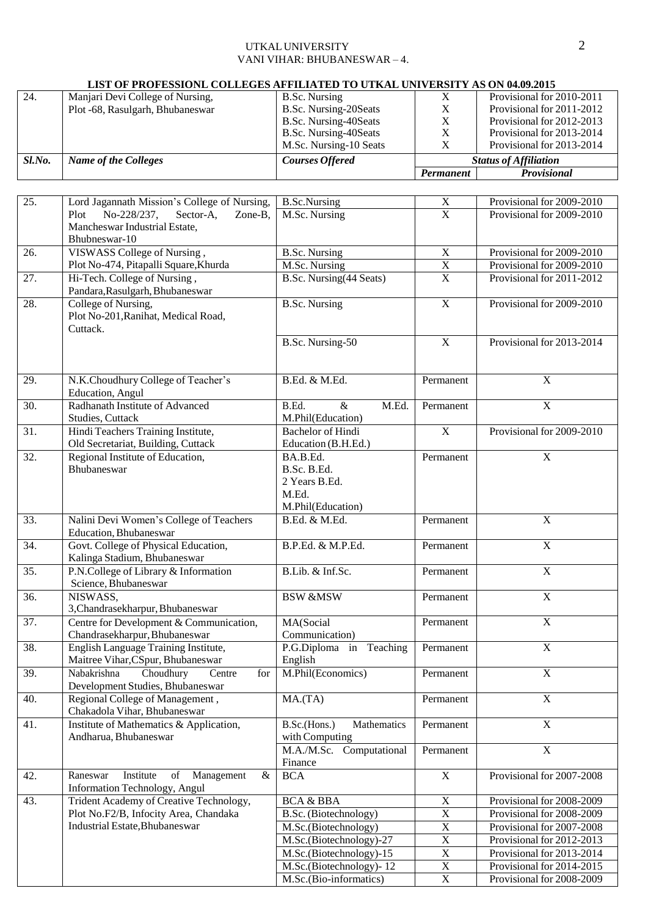## UTKAL UNIVERSITY 2 VANI VIHAR: BHUBANESWAR – 4.

# **LIST OF PROFESSIONL COLLEGES AFFILIATED TO UTKAL UNIVERSITY AS ON 04.09.2015**

|        |                                  |                        | Permanent | <b>Provisional</b>           |
|--------|----------------------------------|------------------------|-----------|------------------------------|
| Sl.No. | <b>Name of the Colleges</b>      | <b>Courses Offered</b> |           | <b>Status of Affiliation</b> |
|        |                                  | M.Sc. Nursing-10 Seats |           | Provisional for 2013-2014    |
|        |                                  | B.Sc. Nursing-40Seats  |           | Provisional for 2013-2014    |
|        |                                  | B.Sc. Nursing-40Seats  |           | Provisional for 2012-2013    |
|        | Plot -68, Rasulgarh, Bhubaneswar | B.Sc. Nursing-20Seats  |           | Provisional for 2011-2012    |
| 24.    | Manjari Devi College of Nursing, | B.Sc. Nursing          |           | Provisional for 2010-2011    |

| 25.               | Lord Jagannath Mission's College of Nursing,                                       | <b>B.Sc.Nursing</b>         | $\mathbf X$           | Provisional for 2009-2010 |
|-------------------|------------------------------------------------------------------------------------|-----------------------------|-----------------------|---------------------------|
|                   | Plot<br>No-228/237,<br>Sector-A,<br>Zone-B,                                        | M.Sc. Nursing               | $\overline{X}$        | Provisional for 2009-2010 |
|                   | Mancheswar Industrial Estate,                                                      |                             |                       |                           |
|                   | Bhubneswar-10                                                                      |                             |                       |                           |
| 26.               | VISWASS College of Nursing,                                                        | <b>B.Sc. Nursing</b>        | $\overline{X}$        | Provisional for 2009-2010 |
|                   | Plot No-474, Pitapalli Square, Khurda                                              | M.Sc. Nursing               | $\overline{X}$        | Provisional for 2009-2010 |
| 27.               | Hi-Tech. College of Nursing,                                                       | B.Sc. Nursing(44 Seats)     | $\overline{\text{X}}$ | Provisional for 2011-2012 |
| 28.               | Pandara, Rasulgarh, Bhubaneswar                                                    |                             | $\overline{X}$        | Provisional for 2009-2010 |
|                   | College of Nursing,<br>Plot No-201, Ranihat, Medical Road,                         | <b>B.Sc. Nursing</b>        |                       |                           |
|                   | Cuttack.                                                                           |                             |                       |                           |
|                   |                                                                                    | B.Sc. Nursing-50            | $\mathbf X$           | Provisional for 2013-2014 |
|                   |                                                                                    |                             |                       |                           |
|                   |                                                                                    |                             |                       |                           |
| 29.               | N.K.Choudhury College of Teacher's                                                 | B.Ed. & M.Ed.               | Permanent             | $\mathbf X$               |
|                   | Education, Angul                                                                   |                             |                       |                           |
| 30.               | Radhanath Institute of Advanced                                                    | B.Ed.<br>&<br>M.Ed.         | Permanent             | $\mathbf X$               |
|                   | Studies, Cuttack                                                                   | M.Phil(Education)           |                       |                           |
| $\overline{31}$ . | Hindi Teachers Training Institute,                                                 | <b>Bachelor</b> of Hindi    | $\overline{X}$        | Provisional for 2009-2010 |
|                   | Old Secretariat, Building, Cuttack                                                 | Education (B.H.Ed.)         |                       |                           |
| 32.               | Regional Institute of Education,<br>Bhubaneswar                                    | BA.B.Ed.<br>B.Sc. B.Ed.     | Permanent             | $\mathbf X$               |
|                   |                                                                                    | 2 Years B.Ed.               |                       |                           |
|                   |                                                                                    | M.Ed.                       |                       |                           |
|                   |                                                                                    | M.Phil(Education)           |                       |                           |
| 33.               | Nalini Devi Women's College of Teachers                                            | B.Ed. & M.Ed.               | Permanent             | $\mathbf X$               |
|                   | Education, Bhubaneswar                                                             |                             |                       |                           |
| $\overline{34}$ . | Govt. College of Physical Education,                                               | B.P.Ed. & M.P.Ed.           | Permanent             | $\overline{X}$            |
|                   | Kalinga Stadium, Bhubaneswar                                                       |                             |                       |                           |
| 35.               | P.N.College of Library & Information                                               | B.Lib. & Inf.Sc.            | Permanent             | $\overline{X}$            |
|                   | Science, Bhubaneswar                                                               |                             |                       |                           |
| 36.               | NISWASS,                                                                           | <b>BSW &amp;MSW</b>         | Permanent             | $\overline{X}$            |
| $\overline{37}$ . | 3, Chandrasekharpur, Bhubaneswar<br>Centre for Development & Communication,        | MA(Social                   | Permanent             | $\overline{X}$            |
|                   | Chandrasekharpur, Bhubaneswar                                                      | Communication)              |                       |                           |
| 38.               | English Language Training Institute,                                               | P.G.Diploma in Teaching     | Permanent             | $\mathbf X$               |
|                   | Maitree Vihar, CSpur, Bhubaneswar                                                  | English                     |                       |                           |
| 39.               | Choudhury<br>for<br>Nabakrishna<br>Centre                                          | M.Phil(Economics)           | Permanent             | $\mathbf X$               |
|                   | Development Studies, Bhubaneswar                                                   |                             |                       |                           |
| 40.               | Regional College of Management,                                                    | MA(TA)                      | Permanent             | $\mathbf X$               |
|                   | Chakadola Vihar, Bhubaneswar                                                       |                             |                       |                           |
| 41.               | Institute of Mathematics & Application,                                            | B.Sc.(Hons.)<br>Mathematics | Permanent             | $\overline{X}$            |
|                   | Andharua, Bhubaneswar                                                              | with Computing              |                       |                           |
|                   |                                                                                    | M.A./M.Sc. Computational    | Permanent             | $\overline{X}$            |
|                   |                                                                                    | Finance                     | $\overline{X}$        | Provisional for 2007-2008 |
| 42.               | $\&$<br>Raneswar<br>Institute<br>of<br>Management<br>Information Technology, Angul | <b>BCA</b>                  |                       |                           |
| 43.               | Trident Academy of Creative Technology,                                            | <b>BCA &amp; BBA</b>        | $\overline{\text{X}}$ | Provisional for 2008-2009 |
|                   | Plot No.F2/B, Infocity Area, Chandaka                                              | B.Sc. (Biotechnology)       | $\overline{X}$        | Provisional for 2008-2009 |
|                   | Industrial Estate, Bhubaneswar                                                     | M.Sc.(Biotechnology)        | $\overline{X}$        | Provisional for 2007-2008 |
|                   |                                                                                    | M.Sc.(Biotechnology)-27     | $\overline{X}$        | Provisional for 2012-2013 |
|                   |                                                                                    | M.Sc.(Biotechnology)-15     | $\overline{X}$        | Provisional for 2013-2014 |
|                   |                                                                                    | M.Sc.(Biotechnology)-12     | $\overline{X}$        | Provisional for 2014-2015 |
|                   |                                                                                    | M.Sc.(Bio-informatics)      | $\overline{\text{X}}$ | Provisional for 2008-2009 |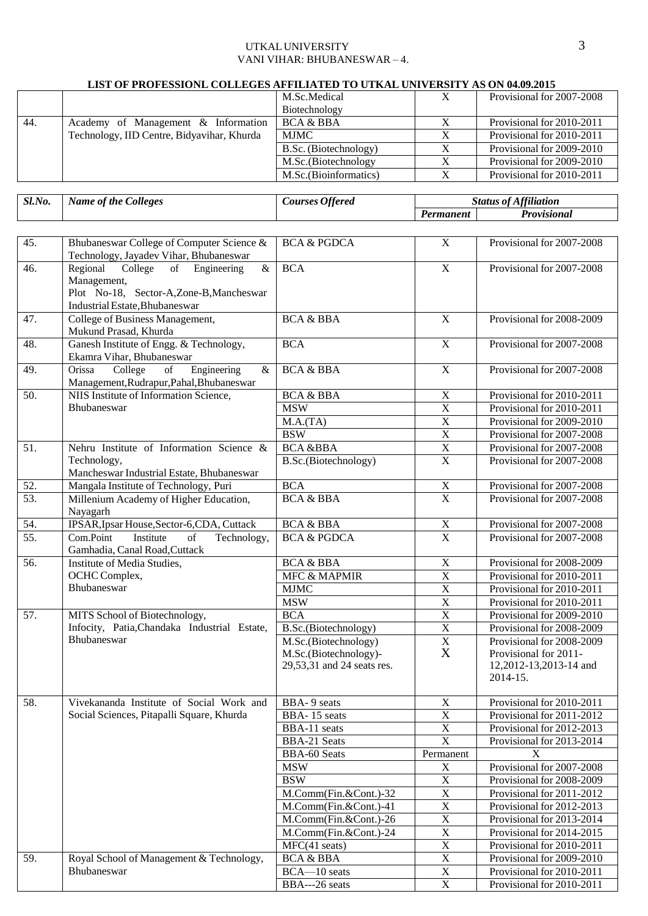# UTKAL UNIVERSITY 3 VANI VIHAR: BHUBANESWAR – 4.

#### **LIST OF PROFESSIONL COLLEGES AFFILIATED TO UTKAL UNIVERSITY AS ON 04.09.2015**

|     |                                            | M.Sc.Medical           | Provisional for 2007-2008 |
|-----|--------------------------------------------|------------------------|---------------------------|
|     |                                            | Biotechnology          |                           |
| 44. | Academy of Management & Information        | BCA & BBA              | Provisional for 2010-2011 |
|     | Technology, IID Centre, Bidyavihar, Khurda | <b>MJMC</b>            | Provisional for 2010-2011 |
|     |                                            | B.Sc. (Biotechnology)  | Provisional for 2009-2010 |
|     |                                            | M.Sc. (Biotechnology   | Provisional for 2009-2010 |
|     |                                            | M.Sc. (Bioinformatics) | Provisional for 2010-2011 |

*Sl.No. Name of the Colleges Courses Offered Status of Affiliation*

|                   |                                                                                                                                                                 |                                                                             | Permanent               | <b>Provisional</b>                                                                       |
|-------------------|-----------------------------------------------------------------------------------------------------------------------------------------------------------------|-----------------------------------------------------------------------------|-------------------------|------------------------------------------------------------------------------------------|
|                   |                                                                                                                                                                 |                                                                             |                         |                                                                                          |
| 45.               | Bhubaneswar College of Computer Science &<br>Technology, Jayadev Vihar, Bhubaneswar                                                                             | <b>BCA &amp; PGDCA</b>                                                      | $\overline{X}$          | Provisional for 2007-2008                                                                |
| 46.               | $\overline{\mathcal{X}}$<br>Regional<br>College<br>of<br>Engineering<br>Management,<br>Plot No-18, Sector-A,Zone-B,Mancheswar<br>Industrial Estate, Bhubaneswar | <b>BCA</b>                                                                  | $\overline{X}$          | Provisional for 2007-2008                                                                |
| 47.               | College of Business Management,<br>Mukund Prasad, Khurda                                                                                                        | <b>BCA &amp; BBA</b>                                                        | $\mathbf X$             | Provisional for 2008-2009                                                                |
| 48.               | Ganesh Institute of Engg. & Technology,<br>Ekamra Vihar, Bhubaneswar                                                                                            | <b>BCA</b>                                                                  | $\overline{X}$          | Provisional for 2007-2008                                                                |
| 49.               | Engineering<br>College<br>Orissa<br>of<br>&<br>Management, Rudrapur, Pahal, Bhubaneswar                                                                         | <b>BCA &amp; BBA</b>                                                        | $\overline{X}$          | Provisional for 2007-2008                                                                |
| 50.               | NIIS Institute of Information Science,                                                                                                                          | <b>BCA &amp; BBA</b>                                                        | $\mathbf X$             | Provisional for 2010-2011                                                                |
|                   | Bhubaneswar                                                                                                                                                     | <b>MSW</b>                                                                  | $\overline{X}$          | Provisional for 2010-2011                                                                |
|                   |                                                                                                                                                                 | M.A.(TA)                                                                    | $\overline{X}$          | Provisional for 2009-2010                                                                |
|                   |                                                                                                                                                                 | <b>BSW</b>                                                                  | $\overline{X}$          | Provisional for 2007-2008                                                                |
| 51.               | Nehru Institute of Information Science &                                                                                                                        | <b>BCA &amp;BBA</b>                                                         | $\overline{X}$          | Provisional for 2007-2008                                                                |
|                   | Technology,<br>Mancheswar Industrial Estate, Bhubaneswar                                                                                                        | B.Sc.(Biotechnology)                                                        | $\overline{X}$          | Provisional for 2007-2008                                                                |
| 52.               | Mangala Institute of Technology, Puri                                                                                                                           | <b>BCA</b>                                                                  | $\overline{X}$          | Provisional for 2007-2008                                                                |
| 53.               | Millenium Academy of Higher Education,<br>Nayagarh                                                                                                              | <b>BCA &amp; BBA</b>                                                        | $\overline{X}$          | Provisional for 2007-2008                                                                |
| 54.               | IPSAR, Ipsar House, Sector-6, CDA, Cuttack                                                                                                                      | <b>BCA &amp; BBA</b>                                                        | $\mathbf X$             | Provisional for 2007-2008                                                                |
| $\overline{55}$ . | Com.Point<br>Institute<br>of<br>Technology,<br>Gamhadia, Canal Road, Cuttack                                                                                    | <b>BCA &amp; PGDCA</b>                                                      | $\overline{\mathbf{X}}$ | Provisional for 2007-2008                                                                |
| 56.               | Institute of Media Studies,                                                                                                                                     | <b>BCA &amp; BBA</b>                                                        | $\overline{\text{X}}$   | Provisional for 2008-2009                                                                |
|                   | OCHC Complex,                                                                                                                                                   | <b>MFC &amp; MAPMIR</b>                                                     | $\overline{\text{X}}$   | Provisional for 2010-2011                                                                |
|                   | Bhubaneswar                                                                                                                                                     | <b>MJMC</b>                                                                 | $\overline{X}$          | Provisional for 2010-2011                                                                |
|                   |                                                                                                                                                                 | <b>MSW</b>                                                                  | $\overline{\text{X}}$   | Provisional for 2010-2011                                                                |
| 57.               | MITS School of Biotechnology,                                                                                                                                   | <b>BCA</b>                                                                  | $\overline{\text{X}}$   | Provisional for 2009-2010                                                                |
|                   | Infocity, Patia, Chandaka Industrial Estate,                                                                                                                    | B.Sc.(Biotechnology)                                                        | $\overline{\text{X}}$   | Provisional for 2008-2009                                                                |
|                   | Bhubaneswar                                                                                                                                                     | M.Sc.(Biotechnology)<br>M.Sc.(Biotechnology)-<br>29,53,31 and 24 seats res. | $\overline{X}$<br>X     | Provisional for 2008-2009<br>Provisional for 2011-<br>12,2012-13,2013-14 and<br>2014-15. |
| 58.               | Vivekananda Institute of Social Work and                                                                                                                        | BBA-9 seats                                                                 | X                       | Provisional for 2010-2011                                                                |
|                   | Social Sciences, Pitapalli Square, Khurda                                                                                                                       | BBA-15 seats                                                                | $\mathbf X$             | Provisional for 2011-2012                                                                |
|                   |                                                                                                                                                                 | BBA-11 seats                                                                | $\overline{X}$          | Provisional for 2012-2013                                                                |
|                   |                                                                                                                                                                 | <b>BBA-21 Seats</b>                                                         | $\overline{X}$          | Provisional for 2013-2014                                                                |
|                   |                                                                                                                                                                 | <b>BBA-60 Seats</b>                                                         | Permanent               | X                                                                                        |
|                   |                                                                                                                                                                 | <b>MSW</b>                                                                  | X                       | Provisional for 2007-2008                                                                |
|                   |                                                                                                                                                                 | <b>BSW</b>                                                                  | $\mathbf X$             | Provisional for 2008-2009                                                                |
|                   |                                                                                                                                                                 | M.Comm(Fin.&Cont.)-32                                                       | $\overline{\text{X}}$   | Provisional for 2011-2012                                                                |
|                   |                                                                                                                                                                 | M.Comm(Fin.&Cont.)-41                                                       | $\overline{\text{X}}$   | Provisional for 2012-2013                                                                |
|                   |                                                                                                                                                                 | M.Comm(Fin.&Cont.)-26                                                       | $\overline{\text{X}}$   | Provisional for 2013-2014                                                                |
|                   |                                                                                                                                                                 | M.Comm(Fin.&Cont.)-24                                                       | $\overline{\text{X}}$   | Provisional for 2014-2015                                                                |
|                   |                                                                                                                                                                 | MFC(41 seats)                                                               | $\overline{\text{X}}$   | Provisional for 2010-2011                                                                |
| 59.               | Royal School of Management & Technology,                                                                                                                        | <b>BCA &amp; BBA</b>                                                        | $\overline{\text{X}}$   | Provisional for 2009-2010                                                                |
|                   | Bhubaneswar                                                                                                                                                     | $BCA - 10$ seats                                                            | $\mathbf X$             | Provisional for 2010-2011                                                                |
|                   |                                                                                                                                                                 | BBA---26 seats                                                              | $\overline{X}$          | Provisional for 2010-2011                                                                |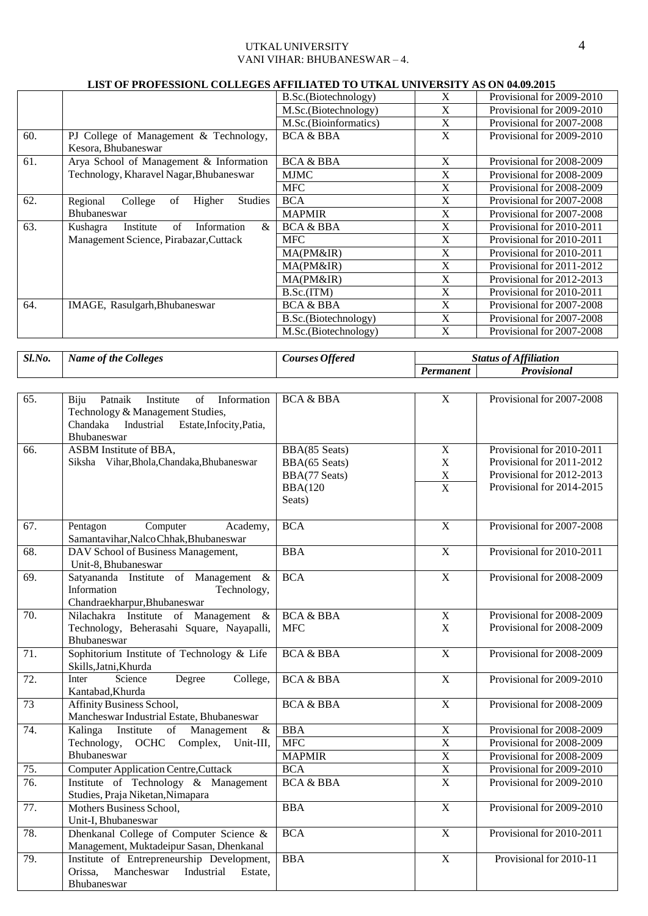#### UTKAL UNIVERSITY 4 VANI VIHAR: BHUBANESWAR – 4.

| LIST OF PROFESSIONL COLLEGES AFFILIATED TO UTKAL UNIVERSITY AS ON 04.09.2015 |                                                       |                       |              |                           |
|------------------------------------------------------------------------------|-------------------------------------------------------|-----------------------|--------------|---------------------------|
|                                                                              |                                                       | B.Sc. (Biotechnology) | X            | Provisional for 2009-2010 |
|                                                                              |                                                       | M.Sc.(Biotechnology)  | X            | Provisional for 2009-2010 |
|                                                                              |                                                       | M.Sc.(Bioinformatics) | X            | Provisional for 2007-2008 |
| 60.                                                                          | PJ College of Management & Technology,                | <b>BCA &amp; BBA</b>  | X            | Provisional for 2009-2010 |
|                                                                              | Kesora, Bhubaneswar                                   |                       |              |                           |
| 61.                                                                          | Arya School of Management & Information               | <b>BCA &amp; BBA</b>  | X            | Provisional for 2008-2009 |
|                                                                              | Technology, Kharavel Nagar, Bhubaneswar               | MJMC                  | X            | Provisional for 2008-2009 |
|                                                                              |                                                       | <b>MFC</b>            | X            | Provisional for 2008-2009 |
| 62.                                                                          | of<br>Higher<br>Regional<br>College<br><b>Studies</b> | <b>BCA</b>            | X            | Provisional for 2007-2008 |
|                                                                              | <b>Bhubaneswar</b>                                    | <b>MAPMIR</b>         | X            | Provisional for 2007-2008 |
| 63.                                                                          | &<br>Kushagra<br>Institute<br>of<br>Information       | <b>BCA &amp; BBA</b>  | X            | Provisional for 2010-2011 |
|                                                                              | Management Science, Pirabazar, Cuttack                | <b>MFC</b>            | X            | Provisional for 2010-2011 |
|                                                                              |                                                       | MA(PM&IR)             | X            | Provisional for 2010-2011 |
|                                                                              |                                                       | MA(PM&IR)             | X            | Provisional for 2011-2012 |
|                                                                              |                                                       | MA(PM&IR)             | X            | Provisional for 2012-2013 |
|                                                                              |                                                       | B.Sc.(ITM)            | $\mathbf{X}$ | Provisional for 2010-2011 |
| 64.                                                                          | IMAGE, Rasulgarh, Bhubaneswar                         | <b>BCA &amp; BBA</b>  | X            | Provisional for 2007-2008 |
|                                                                              |                                                       | B.Sc.(Biotechnology)  | X            | Provisional for 2007-2008 |
|                                                                              |                                                       | M.Sc.(Biotechnology)  | X            | Provisional for 2007-2008 |

| Sl.No. | <b>Name of the Colleges</b> | <b>Courses Offered</b> |           | <b>Status of Affiliation</b> |
|--------|-----------------------------|------------------------|-----------|------------------------------|
|        |                             |                        | Permanent | Provisional                  |

| 65.               | Patnaik<br>Institute<br>of<br>Information<br>Biju<br>Technology & Management Studies, | <b>BCA &amp; BBA</b> | $\overline{X}$          | Provisional for 2007-2008 |
|-------------------|---------------------------------------------------------------------------------------|----------------------|-------------------------|---------------------------|
|                   | Chandaka Industrial Estate, Infocity, Patia,<br>Bhubaneswar                           |                      |                         |                           |
| 66.               | ASBM Institute of BBA,                                                                | BBA(85 Seats)        | $\mathbf X$             | Provisional for 2010-2011 |
|                   | Siksha Vihar, Bhola, Chandaka, Bhubaneswar                                            | BBA(65 Seats)        | $\mathbf X$             | Provisional for 2011-2012 |
|                   |                                                                                       | BBA(77 Seats)        | $\mathbf X$             | Provisional for 2012-2013 |
|                   |                                                                                       | <b>BBA(120</b>       | $\overline{X}$          | Provisional for 2014-2015 |
|                   |                                                                                       | Seats)               |                         |                           |
| 67.               | Pentagon<br>Computer<br>Academy,                                                      | <b>BCA</b>           | $\overline{X}$          | Provisional for 2007-2008 |
|                   | Samantavihar, Nalco Chhak, Bhubaneswar                                                |                      |                         |                           |
| 68.               | DAV School of Business Management,                                                    | <b>BBA</b>           | $\overline{\mathbf{X}}$ | Provisional for 2010-2011 |
|                   | Unit-8, Bhubaneswar                                                                   |                      |                         |                           |
| 69.               | Satyananda Institute of Management &                                                  | <b>BCA</b>           | $\overline{X}$          | Provisional for 2008-2009 |
|                   | Information<br>Technology,                                                            |                      |                         |                           |
|                   | Chandraekharpur, Bhubaneswar                                                          |                      |                         |                           |
| 70.               | Nilachakra Institute of Management<br>$\&$                                            | <b>BCA &amp; BBA</b> | $\overline{X}$          | Provisional for 2008-2009 |
|                   | Technology, Beherasahi Square, Nayapalli,<br>Bhubaneswar                              | <b>MFC</b>           | $\mathbf X$             | Provisional for 2008-2009 |
| $\overline{71}$ . | Sophitorium Institute of Technology & Life                                            | <b>BCA &amp; BBA</b> | $\overline{X}$          | Provisional for 2008-2009 |
|                   | Skills, Jatni, Khurda                                                                 |                      |                         |                           |
| 72.               | Science<br>Degree<br>College,<br>Inter                                                | <b>BCA &amp; BBA</b> | $\overline{X}$          | Provisional for 2009-2010 |
|                   | Kantabad, Khurda                                                                      |                      |                         |                           |
| 73                | Affinity Business School,                                                             | <b>BCA &amp; BBA</b> | $\mathbf X$             | Provisional for 2008-2009 |
|                   | Mancheswar Industrial Estate, Bhubaneswar                                             |                      |                         |                           |
| 74.               | Kalinga<br>Institute<br>Management<br>of<br>$\&$                                      | <b>BBA</b>           | $\overline{X}$          | Provisional for 2008-2009 |
|                   | Technology, OCHC Complex,<br>Unit-III,                                                | <b>MFC</b>           | $\overline{X}$          | Provisional for 2008-2009 |
|                   | Bhubaneswar                                                                           | <b>MAPMIR</b>        | $\overline{X}$          | Provisional for 2008-2009 |
| 75.               | <b>Computer Application Centre, Cuttack</b>                                           | <b>BCA</b>           | $\overline{X}$          | Provisional for 2009-2010 |
| 76.               | Institute of Technology & Management                                                  | <b>BCA &amp; BBA</b> | $\overline{\mathbf{X}}$ | Provisional for 2009-2010 |
|                   | Studies, Praja Niketan, Nimapara                                                      |                      |                         |                           |
| 77.               | Mothers Business School,                                                              | <b>BBA</b>           | $\overline{X}$          | Provisional for 2009-2010 |
|                   | Unit-I, Bhubaneswar                                                                   |                      |                         |                           |
| 78.               | Dhenkanal College of Computer Science &                                               | <b>BCA</b>           | $\mathbf X$             | Provisional for 2010-2011 |
|                   | Management, Muktadeipur Sasan, Dhenkanal                                              |                      |                         |                           |
| 79.               | Institute of Entrepreneurship Development,                                            | <b>BBA</b>           | X                       | Provisional for 2010-11   |
|                   | Mancheswar<br>Industrial<br>Orissa,<br>Estate.                                        |                      |                         |                           |
|                   | <b>Bhubaneswar</b>                                                                    |                      |                         |                           |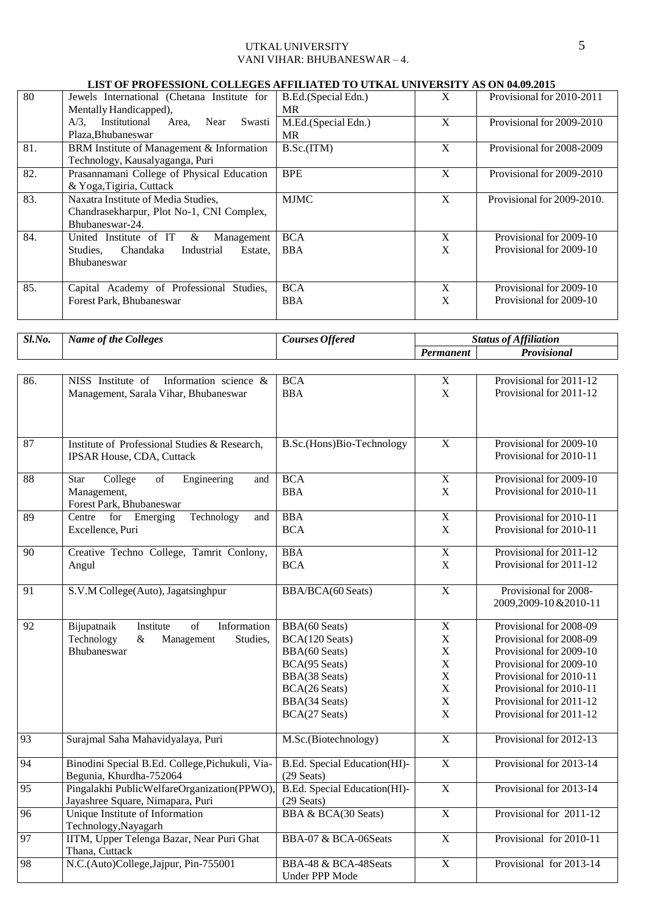# UTKAL UNIVERSITY 5 VANI VIHAR: BHUBANESWAR – 4.

#### **LIST OF PROFESSIONL COLLEGES AFFILIATED TO UTKAL UNIVERSITY AS ON 04.09.2015**

| 80  | Jewels International (Chetana Institute for<br>Mentally Handicapped),                                            | B.Ed.(Special Edn.)<br>MR. | X      | Provisional for 2010-2011                          |
|-----|------------------------------------------------------------------------------------------------------------------|----------------------------|--------|----------------------------------------------------|
|     | Institutional<br>$A/3$ .<br>Near<br>Swasti<br>Area,<br>Plaza, Bhubaneswar                                        | M.Ed.(Special Edn.)<br>MR. | X      | Provisional for 2009-2010                          |
| 81. | BRM Institute of Management & Information<br>Technology, Kausalyaganga, Puri                                     | B.Sc.(ITM)                 | X      | Provisional for 2008-2009                          |
| 82. | Prasannamani College of Physical Education<br>& Yoga, Tigiria, Cuttack                                           | <b>BPE</b>                 | X      | Provisional for 2009-2010                          |
| 83. | Naxatra Institute of Media Studies,<br>Chandrasekharpur, Plot No-1, CNI Complex,<br>Bhubaneswar-24.              | <b>MJMC</b>                | X      | Provisional for 2009-2010.                         |
| 84. | United Institute of IT<br>&<br>Management<br>Chandaka<br>Industrial<br>Studies.<br>Estate.<br><b>Bhubaneswar</b> | <b>BCA</b><br><b>BBA</b>   | X<br>X | Provisional for 2009-10<br>Provisional for 2009-10 |
| 85. | Capital Academy of Professional<br>Studies.<br>Forest Park, Bhubaneswar                                          | <b>BCA</b><br><b>BBA</b>   | X<br>X | Provisional for 2009-10<br>Provisional for 2009-10 |

| Sl.No. | <i>Colleges</i><br>Name of the <b>t</b> | Courses Offered |           | <b>Status of Affiliation</b> |
|--------|-----------------------------------------|-----------------|-----------|------------------------------|
|        |                                         |                 | 'ermanent | Provisional                  |

| 86.             | NISS Institute of Information science &                                                                                                     | <b>BCA</b>                     | $\mathbf X$           | Provisional for 2011-12 |
|-----------------|---------------------------------------------------------------------------------------------------------------------------------------------|--------------------------------|-----------------------|-------------------------|
|                 | Management, Sarala Vihar, Bhubaneswar                                                                                                       | <b>BBA</b>                     | X                     | Provisional for 2011-12 |
|                 |                                                                                                                                             |                                |                       |                         |
|                 |                                                                                                                                             |                                |                       |                         |
|                 |                                                                                                                                             |                                |                       |                         |
| $\overline{87}$ | Institute of Professional Studies & Research,                                                                                               | B.Sc.(Hons)Bio-Technology      | $\overline{X}$        | Provisional for 2009-10 |
|                 | <b>IPSAR House, CDA, Cuttack</b>                                                                                                            |                                |                       | Provisional for 2010-11 |
|                 |                                                                                                                                             |                                |                       |                         |
| 88              | College<br>$% \left( \left( \mathcal{A},\mathcal{A}\right) \right) =\left( \mathcal{A},\mathcal{A}\right)$ of<br>Engineering<br>Star<br>and | <b>BCA</b>                     | $\overline{X}$        | Provisional for 2009-10 |
|                 | Management,                                                                                                                                 | <b>BBA</b>                     | X                     | Provisional for 2010-11 |
|                 | Forest Park, Bhubaneswar                                                                                                                    |                                |                       |                         |
| 89              | Centre for Emerging<br>Technology<br>and                                                                                                    | <b>BBA</b>                     | $\overline{X}$        | Provisional for 2010-11 |
|                 | Excellence, Puri                                                                                                                            | <b>BCA</b>                     | $\mathbf X$           | Provisional for 2010-11 |
|                 |                                                                                                                                             |                                |                       |                         |
| 90              | Creative Techno College, Tamrit Conlony,                                                                                                    | <b>BBA</b>                     | $\overline{X}$        | Provisional for 2011-12 |
|                 | Angul                                                                                                                                       | <b>BCA</b>                     | $\mathbf X$           | Provisional for 2011-12 |
|                 |                                                                                                                                             |                                |                       |                         |
| 91              | S.V.M College(Auto), Jagatsinghpur                                                                                                          | BBA/BCA(60 Seats)              | $\mathbf X$           | Provisional for 2008-   |
|                 |                                                                                                                                             |                                |                       | 2009,2009-10 & 2010-11  |
|                 |                                                                                                                                             |                                |                       |                         |
| 92              | Bijupatnaik<br>$\overline{of}$<br>Information<br>Institute                                                                                  | BBA(60 Seats)                  | $\overline{X}$        | Provisional for 2008-09 |
|                 | Technology<br>Management<br>&<br>Studies,                                                                                                   | BCA(120 Seats)                 | $\mathbf X$           | Provisional for 2008-09 |
|                 | Bhubaneswar                                                                                                                                 | BBA(60 Seats)                  | $\mathbf X$           | Provisional for 2009-10 |
|                 |                                                                                                                                             | BCA(95 Seats)                  | $\mathbf X$           | Provisional for 2009-10 |
|                 |                                                                                                                                             | BBA(38 Seats)                  | $\mathbf X$           | Provisional for 2010-11 |
|                 |                                                                                                                                             | BCA(26 Seats)                  | $\mathbf X$           | Provisional for 2010-11 |
|                 |                                                                                                                                             | BBA(34 Seats)                  | $\mathbf X$           | Provisional for 2011-12 |
|                 |                                                                                                                                             | BCA(27 Seats)                  | X                     | Provisional for 2011-12 |
|                 |                                                                                                                                             |                                |                       |                         |
| 93              | Surajmal Saha Mahavidyalaya, Puri                                                                                                           | M.Sc.(Biotechnology)           | $\overline{X}$        | Provisional for 2012-13 |
|                 |                                                                                                                                             |                                |                       |                         |
| 94              | Binodini Special B.Ed. College, Pichukuli, Via-                                                                                             | B.Ed. Special Education(HI)-   | $\overline{X}$        | Provisional for 2013-14 |
|                 | Begunia, Khurdha-752064                                                                                                                     | $(29$ Seats)                   |                       |                         |
| 95              | Pingalakhi PublicWelfareOrganization(PPWO)                                                                                                  | B.Ed. Special Education(HI)-   | $\overline{X}$        | Provisional for 2013-14 |
|                 | Jayashree Square, Nimapara, Puri                                                                                                            | $(29$ Seats)                   |                       |                         |
| 96              | Unique Institute of Information                                                                                                             | <b>BBA &amp; BCA(30 Seats)</b> | $\overline{\text{X}}$ | Provisional for 2011-12 |
|                 | Technology, Nayagarh                                                                                                                        |                                |                       |                         |
| 97              | IITM, Upper Telenga Bazar, Near Puri Ghat                                                                                                   | BBA-07 & BCA-06Seats           | $\overline{X}$        | Provisional for 2010-11 |
|                 | Thana, Cuttack                                                                                                                              |                                |                       |                         |
| 98              | N.C.(Auto)College,Jajpur, Pin-755001                                                                                                        | BBA-48 & BCA-48Seats           | $\overline{X}$        | Provisional for 2013-14 |
|                 |                                                                                                                                             | <b>Under PPP Mode</b>          |                       |                         |